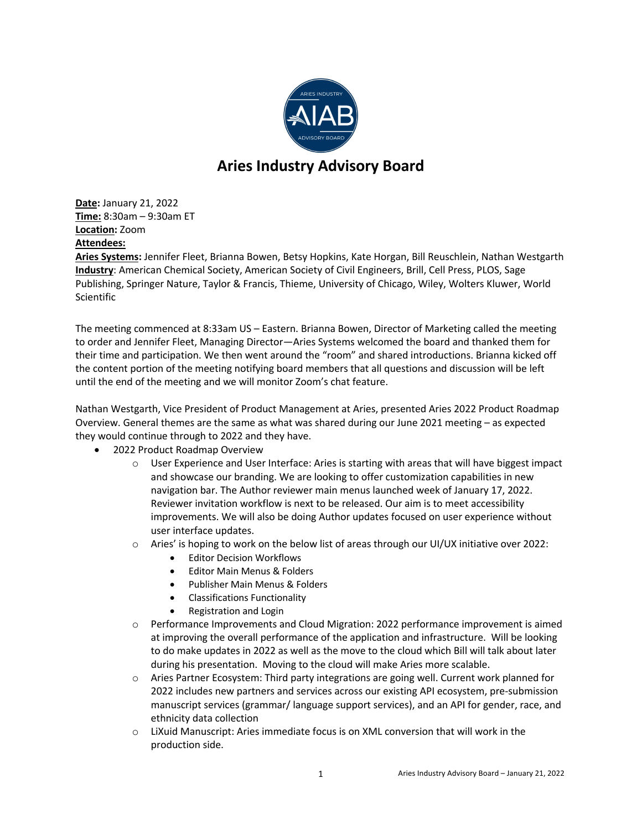

## **Aries Industry Advisory Board**

**Date:** January 21, 2022 **Time:** 8:30am – 9:30am ET **Location:** Zoom **Attendees:**

**Aries Systems:** Jennifer Fleet, Brianna Bowen, Betsy Hopkins, Kate Horgan, Bill Reuschlein, Nathan Westgarth **Industry**: American Chemical Society, American Society of Civil Engineers, Brill, Cell Press, PLOS, Sage Publishing, Springer Nature, Taylor & Francis, Thieme, University of Chicago, Wiley, Wolters Kluwer, World **Scientific** 

The meeting commenced at 8:33am US – Eastern. Brianna Bowen, Director of Marketing called the meeting to order and Jennifer Fleet, Managing Director—Aries Systems welcomed the board and thanked them for their time and participation. We then went around the "room" and shared introductions. Brianna kicked off the content portion of the meeting notifying board members that all questions and discussion will be left until the end of the meeting and we will monitor Zoom's chat feature.

Nathan Westgarth, Vice President of Product Management at Aries, presented Aries 2022 Product Roadmap Overview. General themes are the same as what was shared during our June 2021 meeting – as expected they would continue through to 2022 and they have.

- 2022 Product Roadmap Overview
	- $\circ$  User Experience and User Interface: Aries is starting with areas that will have biggest impact and showcase our branding. We are looking to offer customization capabilities in new navigation bar. The Author reviewer main menus launched week of January 17, 2022. Reviewer invitation workflow is next to be released. Our aim is to meet accessibility improvements. We will also be doing Author updates focused on user experience without user interface updates.
	- $\circ$  Aries' is hoping to work on the below list of areas through our UI/UX initiative over 2022:
		- Editor Decision Workflows
		- Editor Main Menus & Folders
		- Publisher Main Menus & Folders
		- Classifications Functionality
		- Registration and Login
	- $\circ$  Performance Improvements and Cloud Migration: 2022 performance improvement is aimed at improving the overall performance of the application and infrastructure. Will be looking to do make updates in 2022 as well as the move to the cloud which Bill will talk about later during his presentation. Moving to the cloud will make Aries more scalable.
	- $\circ$  Aries Partner Ecosystem: Third party integrations are going well. Current work planned for 2022 includes new partners and services across our existing API ecosystem, pre-submission manuscript services (grammar/ language support services), and an API for gender, race, and ethnicity data collection
	- $\circ$  LiXuid Manuscript: Aries immediate focus is on XML conversion that will work in the production side.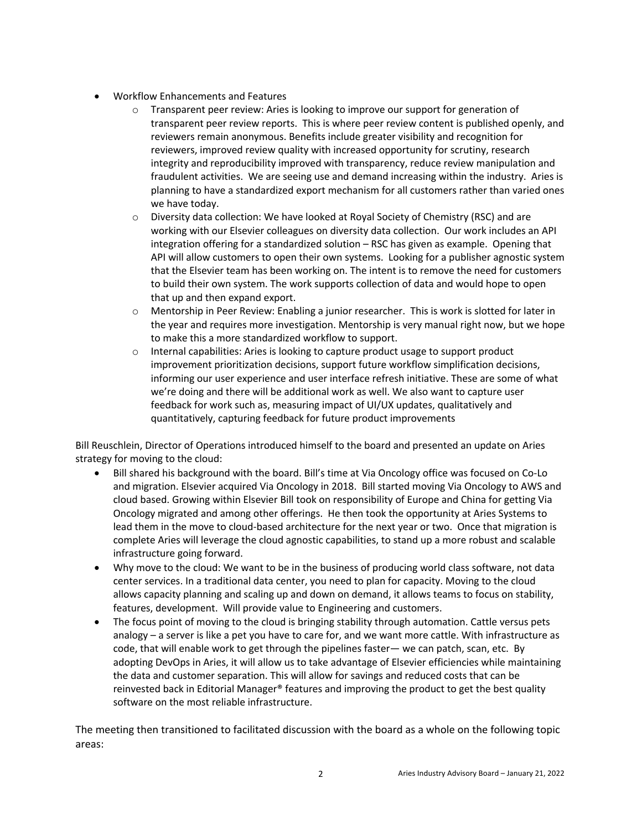- Workflow Enhancements and Features
	- o Transparent peer review: Aries is looking to improve our support for generation of transparent peer review reports. This is where peer review content is published openly, and reviewers remain anonymous. Benefits include greater visibility and recognition for reviewers, improved review quality with increased opportunity for scrutiny, research integrity and reproducibility improved with transparency, reduce review manipulation and fraudulent activities. We are seeing use and demand increasing within the industry. Aries is planning to have a standardized export mechanism for all customers rather than varied ones we have today.
	- o Diversity data collection: We have looked at Royal Society of Chemistry (RSC) and are working with our Elsevier colleagues on diversity data collection. Our work includes an API integration offering for a standardized solution – RSC has given as example. Opening that API will allow customers to open their own systems. Looking for a publisher agnostic system that the Elsevier team has been working on. The intent is to remove the need for customers to build their own system. The work supports collection of data and would hope to open that up and then expand export.
	- o Mentorship in Peer Review: Enabling a junior researcher. This is work is slotted for later in the year and requires more investigation. Mentorship is very manual right now, but we hope to make this a more standardized workflow to support.
	- $\circ$  Internal capabilities: Aries is looking to capture product usage to support product improvement prioritization decisions, support future workflow simplification decisions, informing our user experience and user interface refresh initiative. These are some of what we're doing and there will be additional work as well. We also want to capture user feedback for work such as, measuring impact of UI/UX updates, qualitatively and quantitatively, capturing feedback for future product improvements

Bill Reuschlein, Director of Operations introduced himself to the board and presented an update on Aries strategy for moving to the cloud:

- Bill shared his background with the board. Bill's time at Via Oncology office was focused on Co-Lo and migration. Elsevier acquired Via Oncology in 2018. Bill started moving Via Oncology to AWS and cloud based. Growing within Elsevier Bill took on responsibility of Europe and China for getting Via Oncology migrated and among other offerings. He then took the opportunity at Aries Systems to lead them in the move to cloud-based architecture for the next year or two. Once that migration is complete Aries will leverage the cloud agnostic capabilities, to stand up a more robust and scalable infrastructure going forward.
- Why move to the cloud: We want to be in the business of producing world class software, not data center services. In a traditional data center, you need to plan for capacity. Moving to the cloud allows capacity planning and scaling up and down on demand, it allows teams to focus on stability, features, development. Will provide value to Engineering and customers.
- The focus point of moving to the cloud is bringing stability through automation. Cattle versus pets analogy – a server is like a pet you have to care for, and we want more cattle. With infrastructure as code, that will enable work to get through the pipelines faster— we can patch, scan, etc. By adopting DevOps in Aries, it will allow us to take advantage of Elsevier efficiencies while maintaining the data and customer separation. This will allow for savings and reduced costs that can be reinvested back in Editorial Manager® features and improving the product to get the best quality software on the most reliable infrastructure.

The meeting then transitioned to facilitated discussion with the board as a whole on the following topic areas: